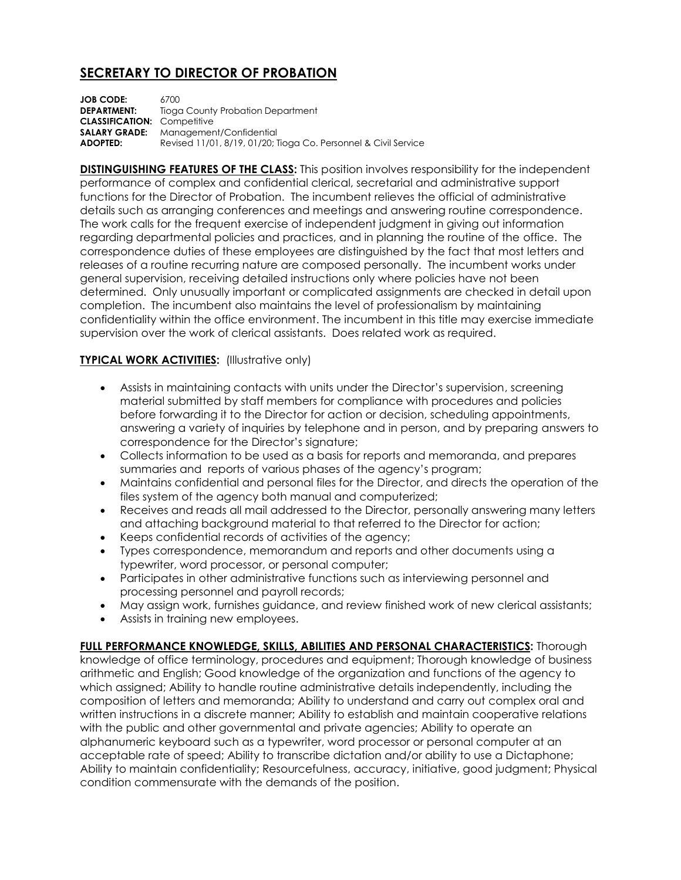## **SECRETARY TO DIRECTOR OF PROBATION**

**JOB CODE:** 6700 **DEPARTMENT:** Tioga County Probation Department **CLASSIFICATION:** Competitive **SALARY GRADE:** Management/Confidential **ADOPTED:** Revised 11/01, 8/19, 01/20; Tioga Co. Personnel & Civil Service

**DISTINGUISHING FEATURES OF THE CLASS:** This position involves responsibility for the independent performance of complex and confidential clerical, secretarial and administrative support functions for the Director of Probation. The incumbent relieves the official of administrative details such as arranging conferences and meetings and answering routine correspondence. The work calls for the frequent exercise of independent judgment in giving out information regarding departmental policies and practices, and in planning the routine of the office. The correspondence duties of these employees are distinguished by the fact that most letters and releases of a routine recurring nature are composed personally. The incumbent works under general supervision, receiving detailed instructions only where policies have not been determined. Only unusually important or complicated assignments are checked in detail upon completion. The incumbent also maintains the level of professionalism by maintaining confidentiality within the office environment. The incumbent in this title may exercise immediate supervision over the work of clerical assistants. Does related work as required.

## **TYPICAL WORK ACTIVITIES:** (Illustrative only)

- Assists in maintaining contacts with units under the Director's supervision, screening material submitted by staff members for compliance with procedures and policies before forwarding it to the Director for action or decision, scheduling appointments, answering a variety of inquiries by telephone and in person, and by preparing answers to correspondence for the Director's signature;
- Collects information to be used as a basis for reports and memoranda, and prepares summaries and reports of various phases of the agency's program;
- Maintains confidential and personal files for the Director, and directs the operation of the files system of the agency both manual and computerized;
- Receives and reads all mail addressed to the Director, personally answering many letters and attaching background material to that referred to the Director for action;
- Keeps confidential records of activities of the agency;
- Types correspondence, memorandum and reports and other documents using a typewriter, word processor, or personal computer;
- Participates in other administrative functions such as interviewing personnel and processing personnel and payroll records;
- May assign work, furnishes guidance, and review finished work of new clerical assistants;
- Assists in training new employees.

**FULL PERFORMANCE KNOWLEDGE, SKILLS, ABILITIES AND PERSONAL CHARACTERISTICS:** Thorough knowledge of office terminology, procedures and equipment; Thorough knowledge of business arithmetic and English; Good knowledge of the organization and functions of the agency to which assigned; Ability to handle routine administrative details independently, including the composition of letters and memoranda; Ability to understand and carry out complex oral and written instructions in a discrete manner; Ability to establish and maintain cooperative relations with the public and other governmental and private agencies; Ability to operate an alphanumeric keyboard such as a typewriter, word processor or personal computer at an acceptable rate of speed; Ability to transcribe dictation and/or ability to use a Dictaphone; Ability to maintain confidentiality; Resourcefulness, accuracy, initiative, good judgment; Physical condition commensurate with the demands of the position.